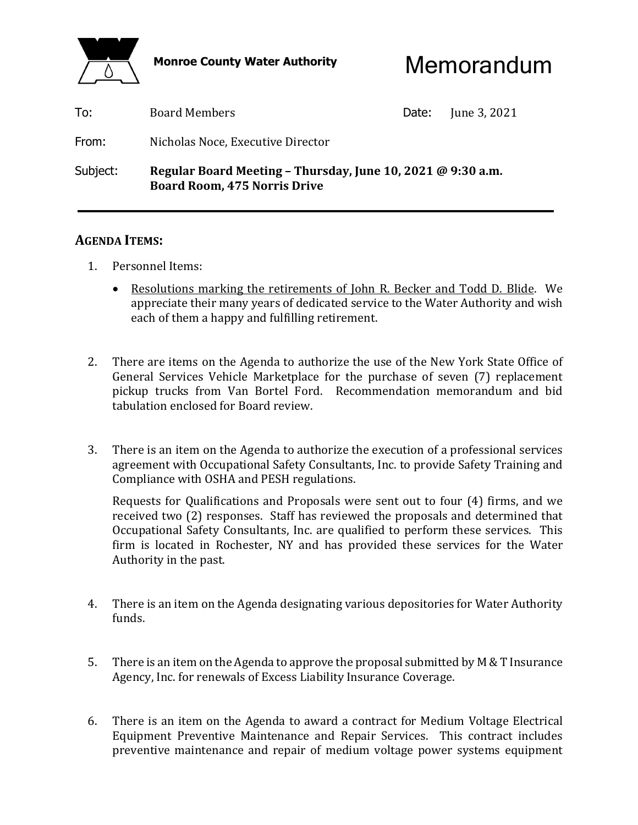

Monroe County Water Authority **Memorandum** 

| To:      | <b>Board Members</b>                                                                               | Date: | June 3, 2021 |
|----------|----------------------------------------------------------------------------------------------------|-------|--------------|
| From:    | Nicholas Noce, Executive Director                                                                  |       |              |
| Subject: | Regular Board Meeting - Thursday, June 10, 2021 @ 9:30 a.m.<br><b>Board Room, 475 Norris Drive</b> |       |              |

# **AGENDA ITEMS:**

- 1. Personnel Items:
	- Resolutions marking the retirements of John R. Becker and Todd D. Blide. We appreciate their many years of dedicated service to the Water Authority and wish each of them a happy and fulfilling retirement.
- 2. There are items on the Agenda to authorize the use of the New York State Office of General Services Vehicle Marketplace for the purchase of seven (7) replacement pickup trucks from Van Bortel Ford. Recommendation memorandum and bid tabulation enclosed for Board review.
- 3. There is an item on the Agenda to authorize the execution of a professional services agreement with Occupational Safety Consultants, Inc. to provide Safety Training and Compliance with OSHA and PESH regulations.

 Requests for Qualifications and Proposals were sent out to four (4) firms, and we received two (2) responses. Staff has reviewed the proposals and determined that Occupational Safety Consultants, Inc. are qualified to perform these services. This firm is located in Rochester, NY and has provided these services for the Water Authority in the past.

- 4. There is an item on the Agenda designating various depositories for Water Authority funds.
- 5. There is an item on the Agenda to approve the proposal submitted by M & T Insurance Agency, Inc. for renewals of Excess Liability Insurance Coverage.
- 6. There is an item on the Agenda to award a contract for Medium Voltage Electrical Equipment Preventive Maintenance and Repair Services. This contract includes preventive maintenance and repair of medium voltage power systems equipment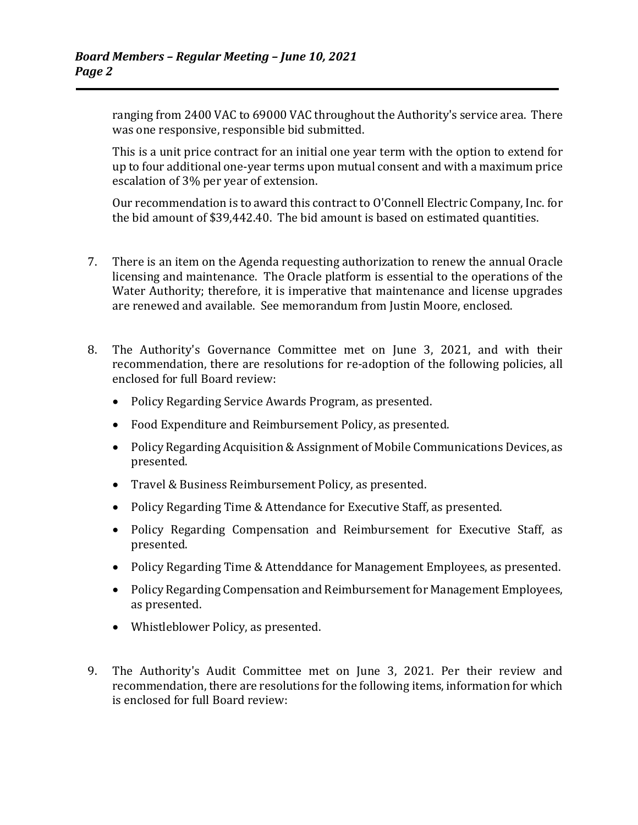ranging from 2400 VAC to 69000 VAC throughout the Authority's service area. There was one responsive, responsible bid submitted.

 This is a unit price contract for an initial one year term with the option to extend for up to four additional one-year terms upon mutual consent and with a maximum price escalation of 3% per year of extension.

 Our recommendation is to award this contract to O'Connell Electric Company, Inc. for the bid amount of \$39,442.40. The bid amount is based on estimated quantities.

- 7. There is an item on the Agenda requesting authorization to renew the annual Oracle licensing and maintenance. The Oracle platform is essential to the operations of the Water Authority; therefore, it is imperative that maintenance and license upgrades are renewed and available. See memorandum from Justin Moore, enclosed.
- 8. The Authority's Governance Committee met on June 3, 2021, and with their recommendation, there are resolutions for re-adoption of the following policies, all enclosed for full Board review:
	- Policy Regarding Service Awards Program, as presented.
	- Food Expenditure and Reimbursement Policy, as presented.
	- Policy Regarding Acquisition & Assignment of Mobile Communications Devices, as presented.
	- Travel & Business Reimbursement Policy, as presented.
	- Policy Regarding Time & Attendance for Executive Staff, as presented.
	- Policy Regarding Compensation and Reimbursement for Executive Staff, as presented.
	- Policy Regarding Time & Attenddance for Management Employees, as presented.
	- Policy Regarding Compensation and Reimbursement for Management Employees, as presented.
	- Whistleblower Policy, as presented.
- 9. The Authority's Audit Committee met on June 3, 2021. Per their review and recommendation, there are resolutions for the following items, information for which is enclosed for full Board review: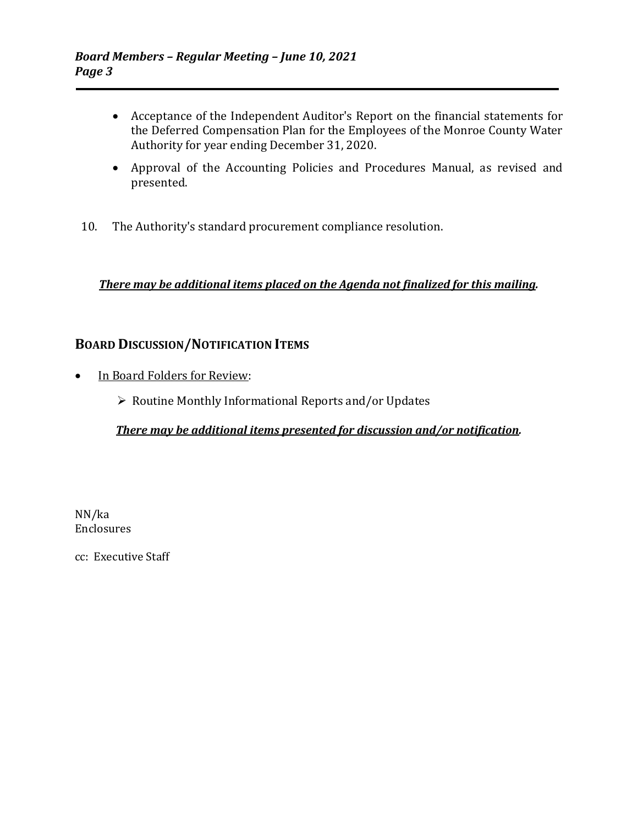- Acceptance of the Independent Auditor's Report on the financial statements for the Deferred Compensation Plan for the Employees of the Monroe County Water Authority for year ending December 31, 2020.
- Approval of the Accounting Policies and Procedures Manual, as revised and presented.
- 10. The Authority's standard procurement compliance resolution.

## *There may be additional items placed on the Agenda not finalized for this mailing.*

# **BOARD DISCUSSION/NOTIFICATION ITEMS**

- In Board Folders for Review:
	- $\triangleright$  Routine Monthly Informational Reports and/or Updates

### *There may be additional items presented for discussion and/or notification.*

NN/ka Enclosures

cc: Executive Staff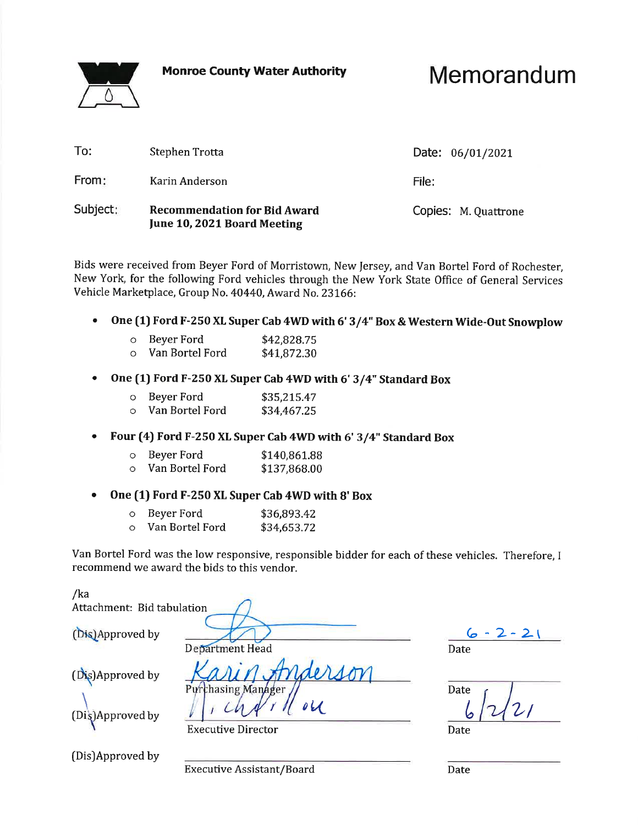**Monroe County Water Authority** 



Memorandum

| To:      | Stephen Trotta                                                     | Date: 06/01/2021     |
|----------|--------------------------------------------------------------------|----------------------|
| From:    | Karin Anderson                                                     | File:                |
| Subject: | <b>Recommendation for Bid Award</b><br>June 10, 2021 Board Meeting | Copies: M. Quattrone |

Bids were received from Beyer Ford of Morristown, New Jersey, and Van Bortel Ford of Rochester, New York, for the following Ford vehicles through the New York State Office of General Services Vehicle Marketplace, Group No. 40440, Award No. 23166:

One (1) Ford F-250 XL Super Cab 4WD with 6' 3/4" Box & Western Wide-Out Snowplow  $\bullet$ 

| Beyer Ford | \$42,828.75 |
|------------|-------------|
|            | .           |

| Van Bortel Ford | \$41,872.30 |
|-----------------|-------------|
|                 |             |

One (1) Ford F-250 XL Super Cab 4WD with 6' 3/4" Standard Box

| Beyer Ford<br>O | \$35,215.47 |
|-----------------|-------------|
|-----------------|-------------|

- o Van Bortel Ford \$34,467.25
- Four (4) Ford F-250 XL Super Cab 4WD with 6' 3/4" Standard Box

| o Beyer Ford | \$140,861.88                                                                    |
|--------------|---------------------------------------------------------------------------------|
| 17 m.J.      | $\lambda$ $\lambda$ $\lambda$ $\lambda$ $\lambda$ $\lambda$ $\lambda$ $\lambda$ |

| Van Bortel Ford | \$137,868.00 |
|-----------------|--------------|
|                 |              |

#### One (1) Ford F-250 XL Super Cab 4WD with 8' Box  $\bullet$

- o Beyer Ford \$36,893.42
- o Van Bortel Ford \$34,653.72

Van Bortel Ford was the low responsive, responsible bidder for each of these vehicles. Therefore, I recommend we award the bids to this vendor.

 $011$ 

/ka Attachment: Bid tabulation

(Dis)Approved by

Department Head

Pirr

(Dis)Approved by

(Dis)Approved by

(Dis)Approved by

chasing Manager

**Executive Director** 

 $6 - 2 - 21$ Date

Date

Date

**Executive Assistant/Board** 

Date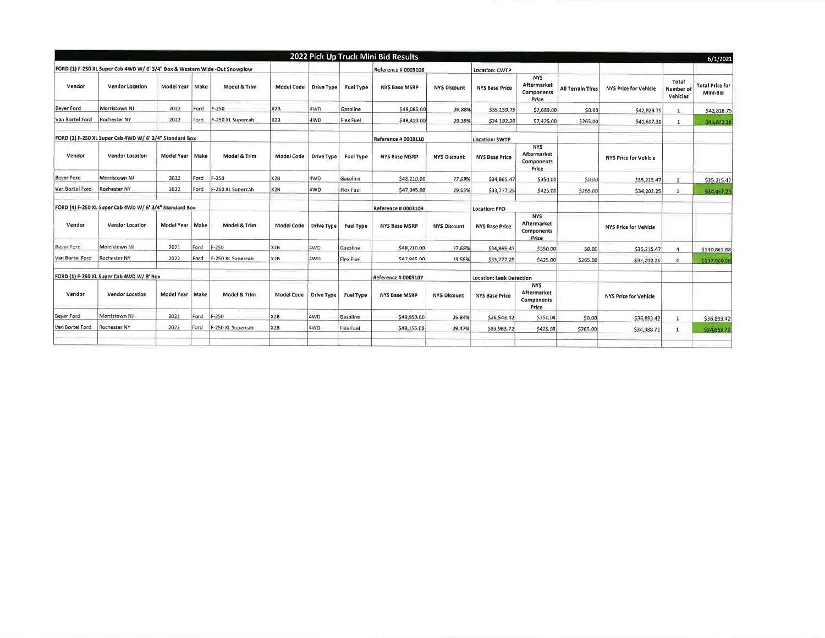|                   |                                                                             |                   |      |                   |                   |                   |                  | 2022 Pick Up Truck Mini Bid Results |                     |                          |                                                         |                          |                       |                                | 6/1/2021                           |
|-------------------|-----------------------------------------------------------------------------|-------------------|------|-------------------|-------------------|-------------------|------------------|-------------------------------------|---------------------|--------------------------|---------------------------------------------------------|--------------------------|-----------------------|--------------------------------|------------------------------------|
|                   | FORD (1) F-250 XL Super Cab 4WD W/ 6' 3/4" Box & Western Wide -Out Snowplow |                   |      |                   |                   |                   |                  | Reference # 0003106                 |                     | Location: CWTP           |                                                         |                          |                       |                                |                                    |
| Vendor            | Vendor Location                                                             | Model Year   Make |      | Model & Trim      | Model Code        | Drive Type        | <b>Fuel Type</b> | <b>NYS Base MSRP</b>                | <b>NYS Discount</b> | <b>NYS Base Price</b>    | <b>NYS</b><br>Aftermarket<br>Components<br>Price        | <b>All Terrain Tires</b> | NYS Price for Vehicle | Total<br>Number of<br>Vehicles | <b>Total Price for</b><br>Mini-Bid |
| <b>Bever Ford</b> | Morristown NJ                                                               | 2022              | Ford | $F - 250$         | X <sub>2</sub> B  | 4WD               | Gasoline         | \$48,085.00                         | 26,88%              | \$35,159.75              | \$7,669.00                                              | \$0.00                   | \$42,828.75           | -1                             | \$42,828,75                        |
| Van Bortel Ford   | Rochester NY                                                                | 2022              | Ford | F-250 XL Supercab | X <sub>2</sub> B  | 4WD               | Flex Fuel        | \$48,410.00                         | 29.39%              | \$34,182.30              | \$7,425.00                                              | \$265.00                 | \$41,607.30           |                                | \$41,872.30                        |
|                   | FORD (1) F-250 XL Super Cab 4WD W/ 6' 3/4" Standard Box                     |                   |      |                   |                   |                   |                  | Reference # 0003110                 |                     | Location: SWTP           |                                                         |                          |                       |                                |                                    |
| Vendor            | <b>Vendor Location</b>                                                      | Model Year   Make |      | Model & Trim      | <b>Model Code</b> | Drive Type        | <b>Fuel Type</b> | <b>NYS Base MSRP</b>                | NYS Discount        | <b>NYS Base Price</b>    | <b>NYS</b><br>Aftermarket<br>Components<br>Price        |                          | NYS Price for Vehicle |                                |                                    |
| <b>Bever Ford</b> | Morristown NJ                                                               | 2022              | Ford | F-250             | X2B               | 4WD               | Gasoline         | \$48,210.00                         | 27.68%              | \$34,865.47              | \$350,00                                                | \$0.00                   | \$35,215.47           |                                | \$35,215.47                        |
| Van Bortel Ford   | Rochester NY                                                                | 2022              | Ford | F-250 XL Supercab | X2B               | 4WD               | Flex Fuel        | \$47,945.00                         | 29.55%              | \$33,777.25              | \$425.00                                                | \$265.00                 | \$34,202.25           | <sup>1</sup>                   | 534,467.25                         |
|                   | FORD (4) F-250 XL Super Cab 4WD W/ 6' 3/4" Standard Box                     |                   |      |                   |                   |                   |                  | Reference # 0003109                 |                     | Location: FFO            |                                                         |                          |                       |                                |                                    |
| Vendor            | Vendor Location                                                             | Model Year   Make |      | Model & Trim      | Model Code        | Drive Type        | <b>Fuel Type</b> | NYS Base MSRP                       | <b>NYS Discount</b> | <b>NYS Base Price</b>    | <b>NYS</b><br><b>Aftermarket</b><br>Components<br>Price |                          | NYS Price for Vehicle |                                |                                    |
| Beyer Ford        | Morristown NI                                                               | 2021              | Ford | F-250             | <b>X2B</b>        | 4WD               | Gasoline         | \$48,210.00                         | 27.68%              | \$34,865.47              | \$350.00                                                | \$0.00                   | \$35,215.47           | $\overline{4}$                 | \$140,861.88                       |
| Van Bortel Ford   | <b>Rochester NY</b>                                                         | 2022              | Ford | F-250 XL Supercab | <b>X2B</b>        | 4WD               | Flex Fuel        | \$47,945.00                         | 29.55%              | \$33,777.25              | \$425.00                                                | \$265.00                 | \$34,202.25           | $\overline{4}$                 | 5137,868.00                        |
|                   | FORD (1) F-250 XL Super Cab 4WD W/ 8' Box                                   |                   |      |                   |                   |                   |                  | Reference # 0003107                 |                     | Location: Leak Detection |                                                         |                          |                       |                                |                                    |
| Vendor            | Vendor Location                                                             | Model Year   Make |      | Model & Trim      | <b>Model Code</b> | <b>Orive Type</b> | <b>Fuel Type</b> | <b>NYS Base MSRP</b>                | <b>NYS Discount</b> | <b>NYS Base Price</b>    | <b>NYS</b><br>Aftermarket<br>Components<br>Price        |                          | NYS Price for Vehicle |                                |                                    |
| <b>Bever Ford</b> | Morristown NJ                                                               | 2021              | Ford | F-250             | X <sub>2B</sub>   | 4WD               | Gasoline         | \$49,950.00                         | 26.84%              | \$36,543.42              | \$350,00                                                | \$0.00                   | \$36,893.42           | $\mathbf{1}$                   | \$36,893.42                        |
| Van Bortel Ford   | <b>Rochester NY</b>                                                         | 2022              | Ford | F-250 XL Supercab | X2B               | 4WD               | Flex Fuel        | \$48,155.00                         | 29,47%              | \$33,963.72              | \$425.00                                                | \$265.00                 | \$34,388.72           | 1                              | \$34,653.73                        |
|                   |                                                                             |                   |      |                   |                   |                   |                  |                                     |                     |                          |                                                         |                          |                       |                                |                                    |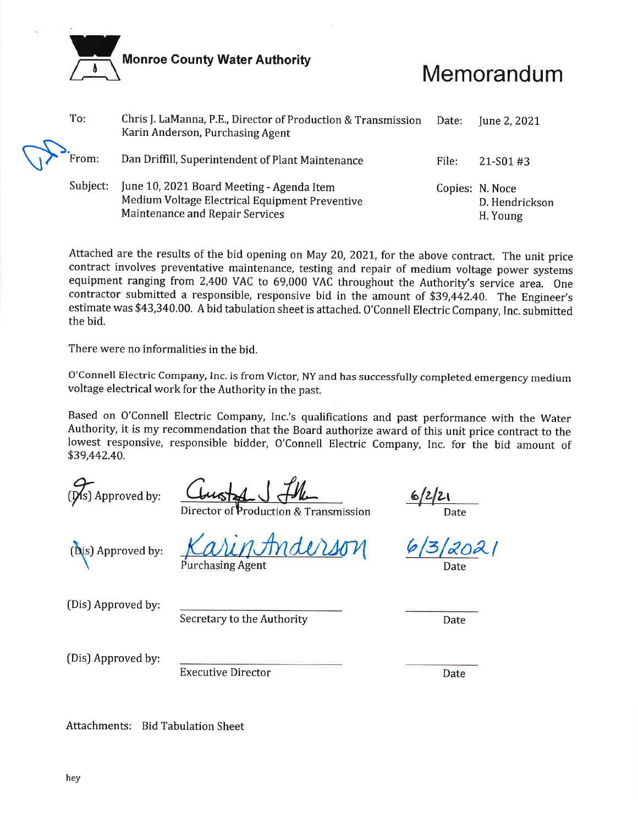**Monroe County Water Authority** 

# Memorandum

| To:      | Chris J. LaManna, P.E., Director of Production & Transmission<br>Karin Anderson, Purchasing Agent                              | Date: | June 2, 2021                                  |
|----------|--------------------------------------------------------------------------------------------------------------------------------|-------|-----------------------------------------------|
| From:    | Dan Driffill, Superintendent of Plant Maintenance                                                                              | File: | $21 - S01 + 3$                                |
| Subject: | June 10, 2021 Board Meeting - Agenda Item<br>Medium Voltage Electrical Equipment Preventive<br>Maintenance and Repair Services |       | Copies: N. Noce<br>D. Hendrickson<br>H. Young |

Attached are the results of the bid opening on May 20, 2021, for the above contract. The unit price contract involves preventative maintenance, testing and repair of medium voltage power systems equipment ranging from 2,400 VAC to 69,000 VAC throughout the Authority's service area. One contractor submitted a responsible, responsive bid in the amount of \$39,442.40. The Engineer's estimate was \$43,340.00. A bid tabulation sheet is attached. O'Connell Electric Company, Inc. submitted the bid.

There were no informalities in the bid.

O'Connell Electric Company, Inc. is from Victor, NY and has successfully completed emergency medium voltage electrical work for the Authority in the past.

Based on O'Connell Electric Company, Inc.'s qualifications and past performance with the Water Authority, it is my recommendation that the Board authorize award of this unit price contract to the lowest responsive, responsible bidder, O'Connell Electric Company, Inc. for the bid amount of \$39,442.40.

 $(Ns)$  Approved by:

Production & Transmission

Date

(Dis) Approved by:

**Purchasing Agent** 

(Dis) Approved by:

Secretary to the Authority

Date

(Dis) Approved by:

**Executive Director** 

Date

Attachments: Bid Tabulation Sheet